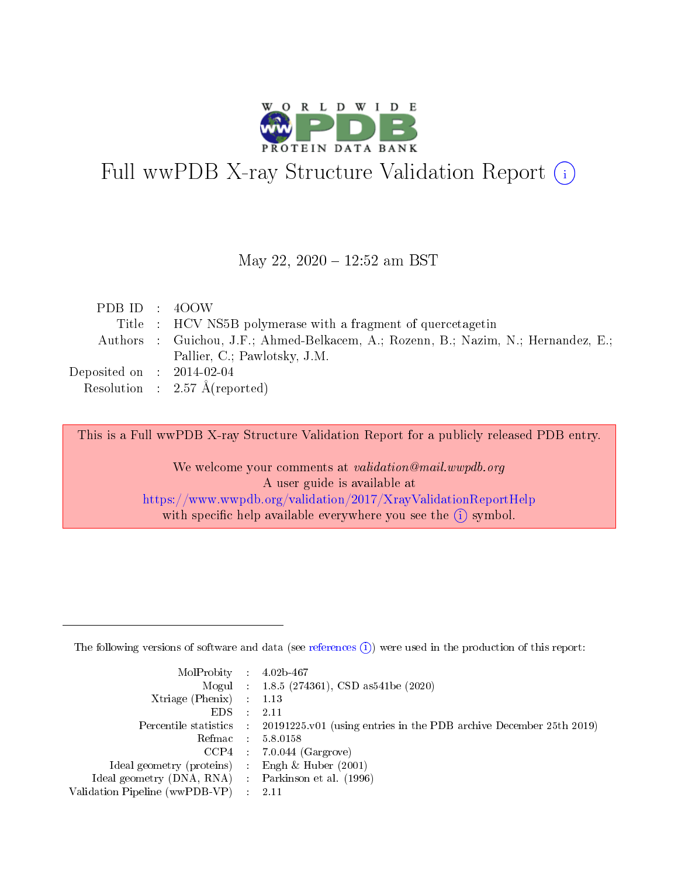

# Full wwPDB X-ray Structure Validation Report (i)

#### May 22, 2020 - 12:52 am BST

| PDB ID : 400W               |                                                                                    |
|-----------------------------|------------------------------------------------------------------------------------|
|                             | Title : HCV NS5B polymerase with a fragment of quercetagetin                       |
|                             | Authors : Guichou, J.F.; Ahmed-Belkacem, A.; Rozenn, B.; Nazim, N.; Hernandez, E.; |
|                             | Pallier, C.; Pawlotsky, J.M.                                                       |
| Deposited on : $2014-02-04$ |                                                                                    |
|                             | Resolution : $2.57 \text{ Å}$ (reported)                                           |

This is a Full wwPDB X-ray Structure Validation Report for a publicly released PDB entry.

We welcome your comments at validation@mail.wwpdb.org A user guide is available at <https://www.wwpdb.org/validation/2017/XrayValidationReportHelp> with specific help available everywhere you see the  $(i)$  symbol.

The following versions of software and data (see [references](https://www.wwpdb.org/validation/2017/XrayValidationReportHelp#references)  $(1)$ ) were used in the production of this report:

| $MolProbability$ 4.02b-467                          |               |                                                                                            |
|-----------------------------------------------------|---------------|--------------------------------------------------------------------------------------------|
|                                                     |               | Mogul : $1.8.5$ (274361), CSD as 541be (2020)                                              |
| Xtriage (Phenix) $: 1.13$                           |               |                                                                                            |
| EDS.                                                | $\mathcal{L}$ | -2.11                                                                                      |
|                                                     |               | Percentile statistics : 20191225.v01 (using entries in the PDB archive December 25th 2019) |
|                                                     |               | Refmac $5.8.0158$                                                                          |
| CCP4                                                |               | $7.0.044$ (Gargrove)                                                                       |
| Ideal geometry (proteins)                           | $\sim$        | Engh $\&$ Huber (2001)                                                                     |
| Ideal geometry (DNA, RNA) : Parkinson et al. (1996) |               |                                                                                            |
| Validation Pipeline (wwPDB-VP) : 2.11               |               |                                                                                            |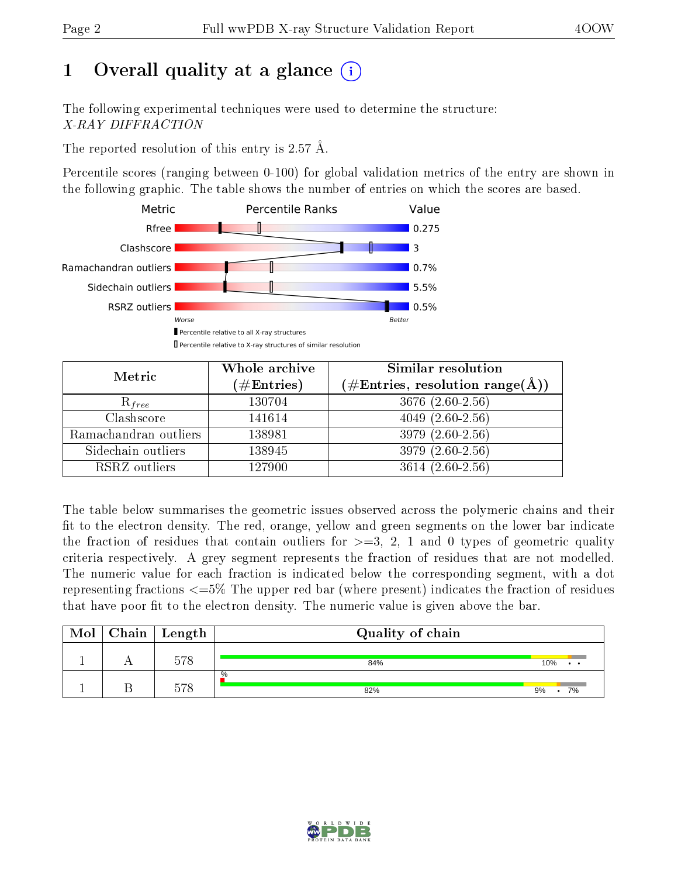## 1 [O](https://www.wwpdb.org/validation/2017/XrayValidationReportHelp#overall_quality)verall quality at a glance  $(i)$

The following experimental techniques were used to determine the structure: X-RAY DIFFRACTION

The reported resolution of this entry is 2.57 Å.

Percentile scores (ranging between 0-100) for global validation metrics of the entry are shown in the following graphic. The table shows the number of entries on which the scores are based.



| Metric                | Whole archive<br>$(\#\text{Entries})$ | Similar resolution<br>$(\#\text{Entries},\,\text{resolution}\,\,\text{range}(\textup{\AA}))$ |  |  |
|-----------------------|---------------------------------------|----------------------------------------------------------------------------------------------|--|--|
| $R_{free}$            | 130704                                | $3676(2.60-2.56)$                                                                            |  |  |
| Clashscore            | 141614                                | $4049(2.60-2.56)$                                                                            |  |  |
| Ramachandran outliers | 138981                                | $3979(2.60-2.56)$                                                                            |  |  |
| Sidechain outliers    | 138945                                | 3979 (2.60-2.56)                                                                             |  |  |
| RSRZ outliers         | 127900                                | $3614(2.60-2.56)$                                                                            |  |  |

The table below summarises the geometric issues observed across the polymeric chains and their fit to the electron density. The red, orange, yellow and green segments on the lower bar indicate the fraction of residues that contain outliers for  $>=3, 2, 1$  and 0 types of geometric quality criteria respectively. A grey segment represents the fraction of residues that are not modelled. The numeric value for each fraction is indicated below the corresponding segment, with a dot representing fractions  $\epsilon=5\%$  The upper red bar (where present) indicates the fraction of residues that have poor fit to the electron density. The numeric value is given above the bar.

| Mol | $Chain$ Length | Quality of chain |                  |
|-----|----------------|------------------|------------------|
|     | 578            | 84%              | 10%<br>$\bullet$ |
|     | ごワの            | %<br>82%         | 7%<br>9%         |

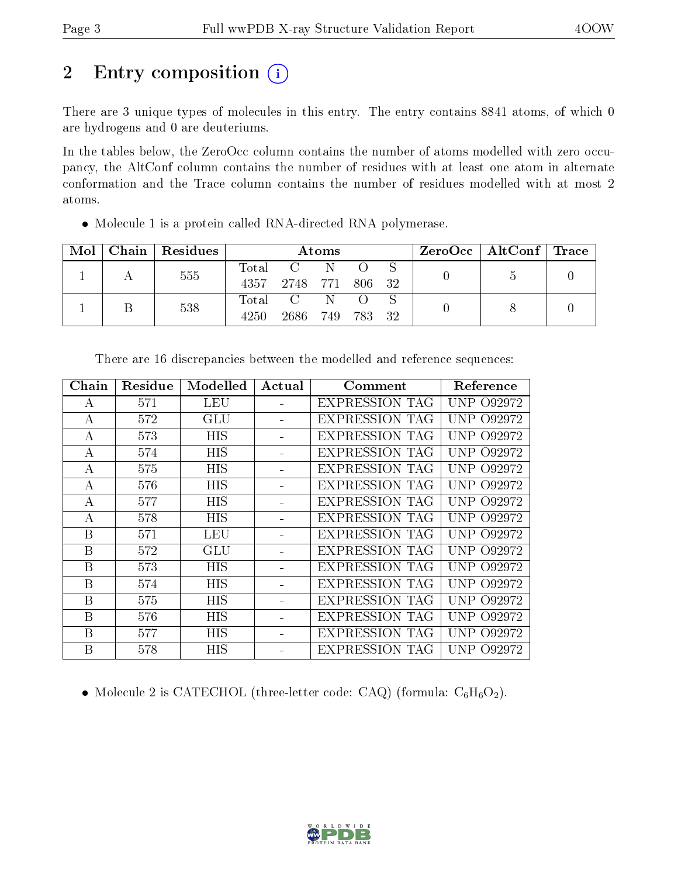## 2 Entry composition (i)

There are 3 unique types of molecules in this entry. The entry contains 8841 atoms, of which 0 are hydrogens and 0 are deuteriums.

In the tables below, the ZeroOcc column contains the number of atoms modelled with zero occupancy, the AltConf column contains the number of residues with at least one atom in alternate conformation and the Trace column contains the number of residues modelled with at most 2 atoms.

| Mol | Chain   Residues | Atoms         |                          |            |        | $\rm ZeroOcc \mid AltConf \mid Trace$ |  |  |
|-----|------------------|---------------|--------------------------|------------|--------|---------------------------------------|--|--|
|     | 555              | Total<br>4357 | $\mathbf{C}$<br>2748 771 | - N        | 806 32 |                                       |  |  |
|     | 538              | Total<br>4250 | $\rm C$<br>2686          | -N<br>-749 | 783 32 |                                       |  |  |

Molecule 1 is a protein called RNA-directed RNA polymerase.

| Chain            | Residue | Modelled   | Actual | Comment               | Reference         |
|------------------|---------|------------|--------|-----------------------|-------------------|
| А                | 571     | <b>LEU</b> |        | <b>EXPRESSION TAG</b> | UNP 092972        |
| $\boldsymbol{A}$ | 572     | <b>GLU</b> |        | EXPRESSION TAG        | <b>UNP 092972</b> |
| А                | 573     | <b>HIS</b> |        | EXPRESSION TAG        | <b>UNP 092972</b> |
| А                | 574     | HIS        |        | <b>EXPRESSION TAG</b> | UNP 092972        |
| А                | 575     | HIS        |        | <b>EXPRESSION TAG</b> | UNP 092972        |
| А                | 576     | <b>HIS</b> |        | <b>EXPRESSION TAG</b> | UNP 092972        |
| А                | 577     | <b>HIS</b> |        | <b>EXPRESSION TAG</b> | <b>UNP 092972</b> |
| А                | 578     | <b>HIS</b> |        | <b>EXPRESSION TAG</b> | UNP 092972        |
| B                | 571     | LEU        |        | EXPRESSION TAG        | <b>UNP 092972</b> |
| B                | 572     | GLU        |        | EXPRESSION TAG        | <b>UNP 092972</b> |
| B                | 573     | HIS        |        | <b>EXPRESSION TAG</b> | UNP 092972        |
| B                | 574     | <b>HIS</b> |        | <b>EXPRESSION TAG</b> | UNP 092972        |
| B                | 575     | <b>HIS</b> |        | <b>EXPRESSION TAG</b> | UNP 092972        |
| B                | 576     | <b>HIS</b> |        | <b>EXPRESSION TAG</b> | UNP 092972        |
| B                | 577     | <b>HIS</b> |        | EXPRESSION TAG        | UNP 092972        |
| B                | 578     | HIS        |        | EXPRESSION TAG        | UNP 092972        |
|                  |         |            |        |                       |                   |

There are 16 discrepancies between the modelled and reference sequences:

• Molecule 2 is CATECHOL (three-letter code: CAQ) (formula:  $C_6H_6O_2$ ).

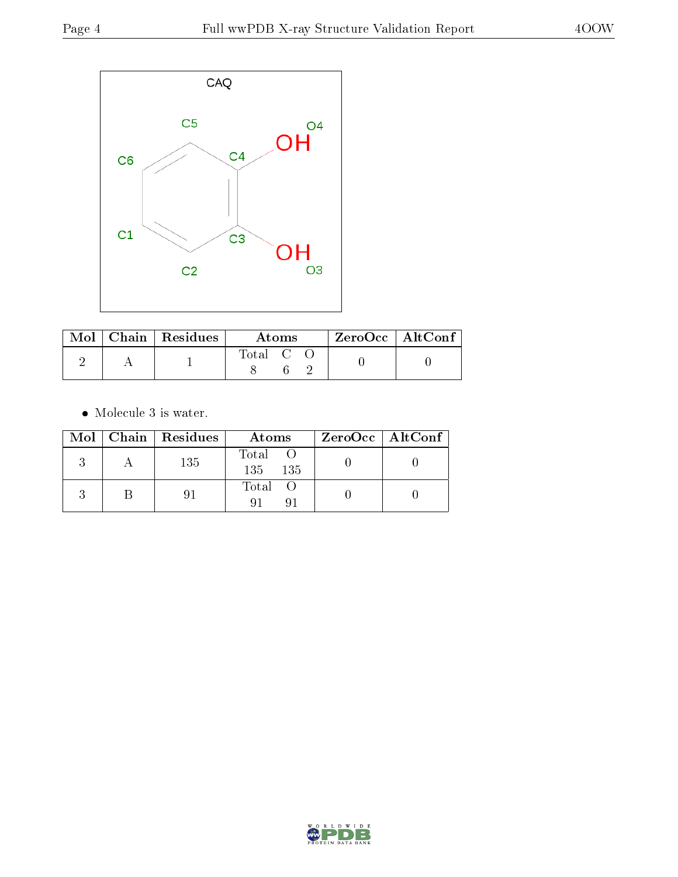

|  | $\perp$ Mol $\perp$ Chain $\perp$ Residues $\perp$ | <b>Atoms</b> |  |  | $\mid$ ZeroOcc $\mid$ AltConf $\mid$ |  |
|--|----------------------------------------------------|--------------|--|--|--------------------------------------|--|
|  |                                                    | Total C C    |  |  |                                      |  |

 $\bullet\,$  Molecule 3 is water.

|  | Mol   Chain   Residues | Atoms            | $ZeroOcc \   \$ AltConf |
|--|------------------------|------------------|-------------------------|
|  | 135                    | Total<br>135 135 |                         |
|  | 91                     | Total O<br>Q 1   |                         |

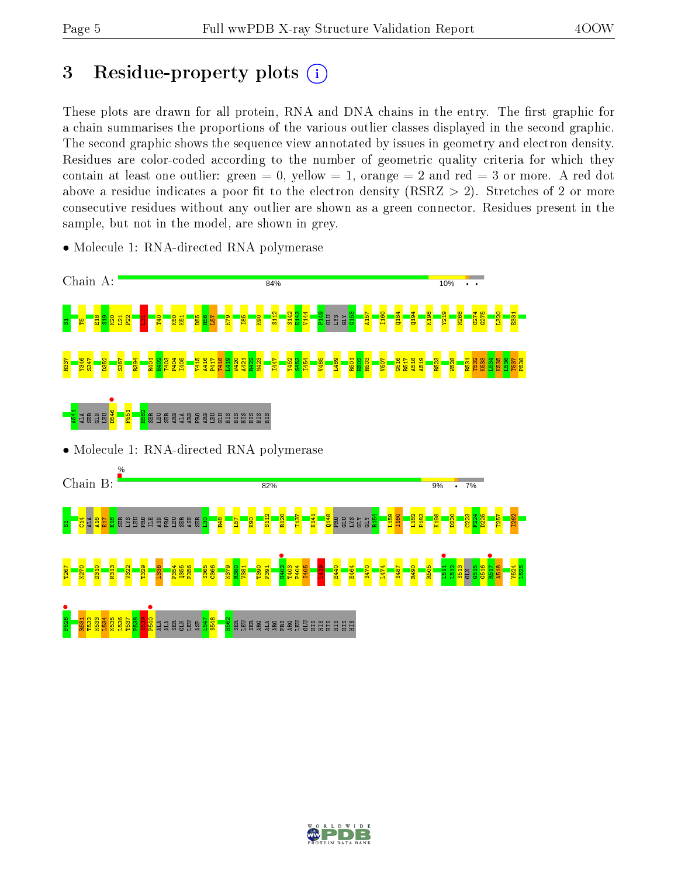## 3 Residue-property plots  $(i)$

These plots are drawn for all protein, RNA and DNA chains in the entry. The first graphic for a chain summarises the proportions of the various outlier classes displayed in the second graphic. The second graphic shows the sequence view annotated by issues in geometry and electron density. Residues are color-coded according to the number of geometric quality criteria for which they contain at least one outlier: green  $= 0$ , yellow  $= 1$ , orange  $= 2$  and red  $= 3$  or more. A red dot above a residue indicates a poor fit to the electron density (RSRZ  $> 2$ ). Stretches of 2 or more consecutive residues without any outlier are shown as a green connector. Residues present in the sample, but not in the model, are shown in grey.



• Molecule 1: RNA-directed RNA polymerase

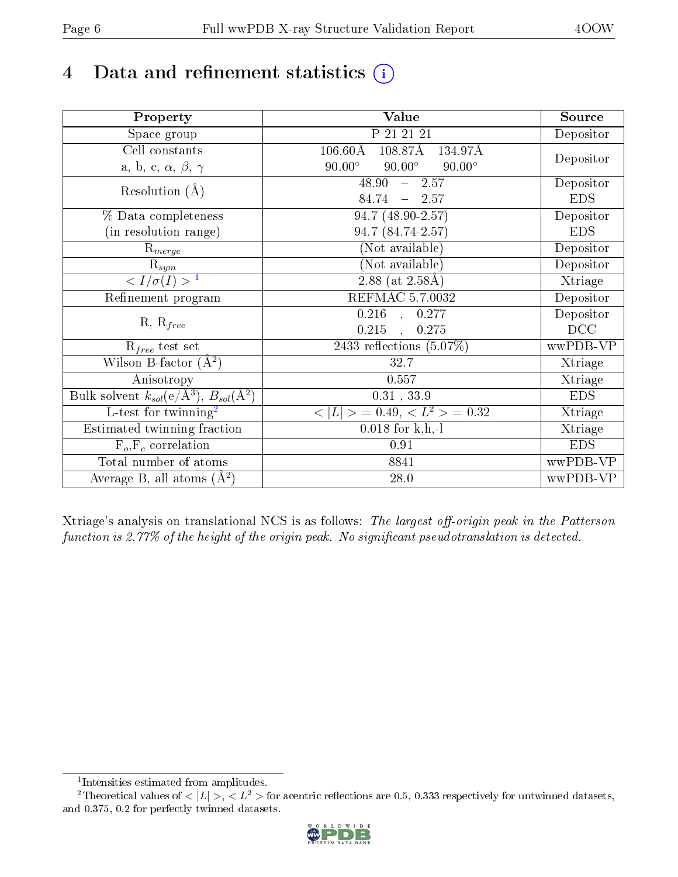## 4 Data and refinement statistics  $(i)$

| Property                                                             | Value                                           | Source     |
|----------------------------------------------------------------------|-------------------------------------------------|------------|
| Space group                                                          | P 21 21 21                                      | Depositor  |
| Cell constants                                                       | $106.60\text{\AA}$<br>108.87Å<br>134.97Å        |            |
| a, b, c, $\alpha$ , $\beta$ , $\gamma$                               | $90.00^\circ$<br>$90.00^\circ$<br>$90.00^\circ$ | Depositor  |
| Resolution $(A)$                                                     | $48.90 - 2.57$                                  | Depositor  |
|                                                                      | $84.74 - 2.57$                                  | <b>EDS</b> |
| % Data completeness                                                  | 94.7 (48.90-2.57)                               | Depositor  |
| (in resolution range)                                                | 94.7 (84.74-2.57)                               | <b>EDS</b> |
| $R_{merge}$                                                          | (Not available)                                 | Depositor  |
| $\mathrm{R}_{sym}$                                                   | (Not available)                                 | Depositor  |
| $\langle I/\sigma(I) \rangle^{-1}$                                   | $2.88$ (at 2.58Å)                               | Xtriage    |
| Refinement program                                                   | <b>REFMAC 5.7.0032</b>                          | Depositor  |
|                                                                      | $0.216$ , $0.277$                               | Depositor  |
| $R, R_{free}$                                                        | 0.215<br>$\overline{\phantom{a}}$<br>0.275      | DCC        |
| $R_{free}$ test set                                                  | 2433 reflections $(5.07\%)$                     | wwPDB-VP   |
| Wilson B-factor $(A^2)$                                              | 32.7                                            | Xtriage    |
| Anisotropy                                                           | 0.557                                           | Xtriage    |
| Bulk solvent $k_{sol}(e/\mathring{A}^3)$ , $B_{sol}(\mathring{A}^2)$ | $0.31$ , $33.9$                                 | <b>EDS</b> |
| $\overline{L-test for}$ twinning <sup>2</sup>                        | $< L >$ = 0.49, $< L^2 >$ = 0.32                | Xtriage    |
| Estimated twinning fraction                                          | $0.018$ for k,h,-l                              | Xtriage    |
| $F_o, F_c$ correlation                                               | 0.91                                            | <b>EDS</b> |
| Total number of atoms                                                | 8841                                            | wwPDB-VP   |
| Average B, all atoms $(A^2)$                                         | 28.0                                            | wwPDB-VP   |

Xtriage's analysis on translational NCS is as follows: The largest off-origin peak in the Patterson function is  $2.77\%$  of the height of the origin peak. No significant pseudotranslation is detected.

<sup>&</sup>lt;sup>2</sup>Theoretical values of  $\langle |L| \rangle$ ,  $\langle L^2 \rangle$  for acentric reflections are 0.5, 0.333 respectively for untwinned datasets, and 0.375, 0.2 for perfectly twinned datasets.



<span id="page-5-1"></span><span id="page-5-0"></span><sup>1</sup> Intensities estimated from amplitudes.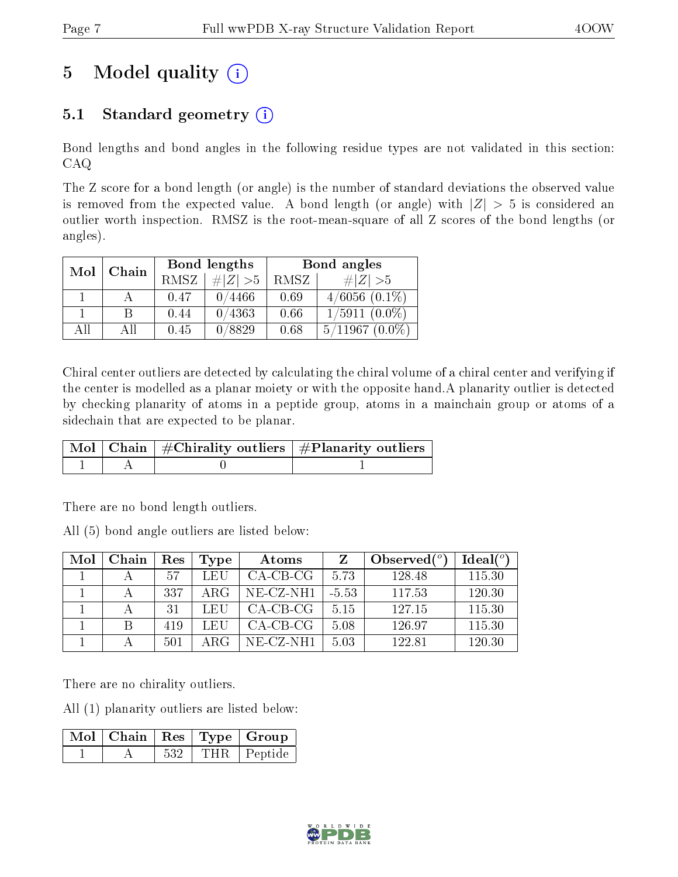## 5 Model quality  $(i)$

## 5.1 Standard geometry  $(i)$

Bond lengths and bond angles in the following residue types are not validated in this section: CAQ

The Z score for a bond length (or angle) is the number of standard deviations the observed value is removed from the expected value. A bond length (or angle) with  $|Z| > 5$  is considered an outlier worth inspection. RMSZ is the root-mean-square of all Z scores of the bond lengths (or angles).

| Mol | Chain |      | Bond lengths | Bond angles |                    |  |
|-----|-------|------|--------------|-------------|--------------------|--|
|     |       | RMSZ | # $ Z >5$    | RMSZ        | # $ Z  > 5$        |  |
|     |       | 0.47 | 0/4466       | 0.69        | $4/6056$ $(0.1\%)$ |  |
|     | B     | 0.44 | 0/4363       | 0.66        | $1/5911(0.0\%)$    |  |
| AH  | АH    | 0.45 | 0/8829       | 0.68        | $5/11967(0.0\%)$   |  |

Chiral center outliers are detected by calculating the chiral volume of a chiral center and verifying if the center is modelled as a planar moiety or with the opposite hand.A planarity outlier is detected by checking planarity of atoms in a peptide group, atoms in a mainchain group or atoms of a sidechain that are expected to be planar.

|  | $\mid$ Mol $\mid$ Chain $\mid$ #Chirality outliers $\mid$ #Planarity outliers $'$ |
|--|-----------------------------------------------------------------------------------|
|  |                                                                                   |

There are no bond length outliers.

All (5) bond angle outliers are listed below:

| Mol | Chain | Res | Type | Atoms      |         | Observed $(^\circ)$ | Ideal $(°)$ |
|-----|-------|-----|------|------------|---------|---------------------|-------------|
|     |       | 57  | LEU  | $CA-CB-CG$ | 5.73    | 128.48              | 115.30      |
|     |       | 337 | ARG  | NE-CZ-NH1  | $-5.53$ | 117.53              | 120.30      |
|     |       | 31  | LEU  | $CA-CB-CG$ | 5.15    | 127.15              | 115.30      |
|     |       | 419 | LEU  | $CA-CB-CG$ | 5.08    | 126.97              | 115.30      |
|     |       | 501 |      | NE-CZ-NH1  | 5.03    | 122.81              | 120.30      |

There are no chirality outliers.

All (1) planarity outliers are listed below:

|  |     | $\boxed{\text{Mol} \mid \text{Chain}}$   Res   Type   Group |
|--|-----|-------------------------------------------------------------|
|  | 532 | THR Peptide                                                 |

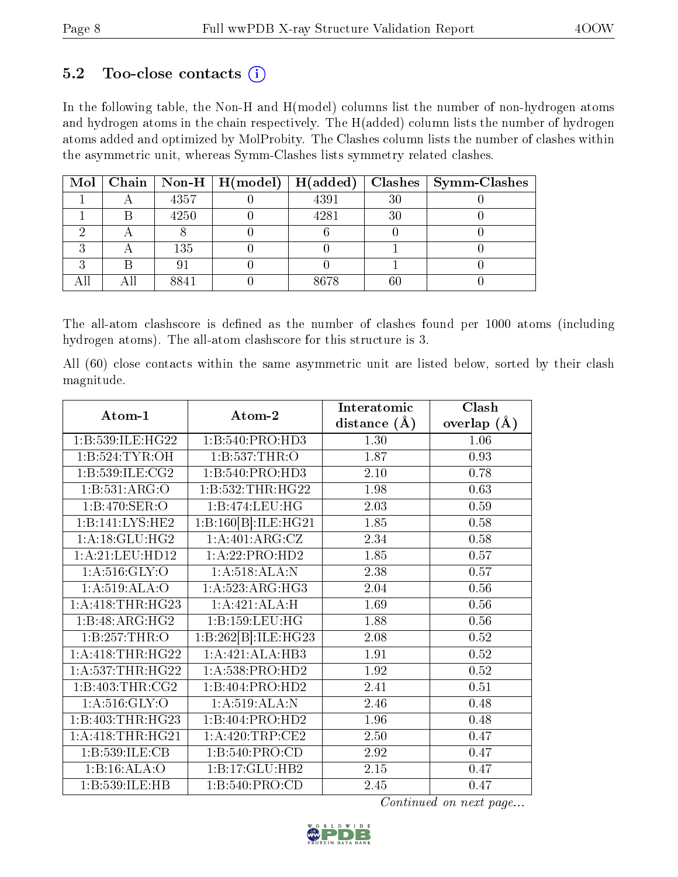### $5.2$  Too-close contacts  $(i)$

In the following table, the Non-H and H(model) columns list the number of non-hydrogen atoms and hydrogen atoms in the chain respectively. The H(added) column lists the number of hydrogen atoms added and optimized by MolProbity. The Clashes column lists the number of clashes within the asymmetric unit, whereas Symm-Clashes lists symmetry related clashes.

|  |      |      |    | Mol   Chain   Non-H   H(model)   H(added)   Clashes   Symm-Clashes |
|--|------|------|----|--------------------------------------------------------------------|
|  | 4357 | 4391 | 30 |                                                                    |
|  | 4250 | 4281 | 30 |                                                                    |
|  |      |      |    |                                                                    |
|  | 135  |      |    |                                                                    |
|  |      |      |    |                                                                    |
|  | 8841 | 8678 | 60 |                                                                    |

The all-atom clashscore is defined as the number of clashes found per 1000 atoms (including hydrogen atoms). The all-atom clashscore for this structure is 3.

All (60) close contacts within the same asymmetric unit are listed below, sorted by their clash magnitude.

|                      |                            | Interatomic    | Clash         |  |
|----------------------|----------------------------|----------------|---------------|--|
| Atom-1               | Atom-2                     | distance $(A)$ | overlap $(A)$ |  |
| 1:B:539:ILE:HG22     | 1:B:540:PRO:HD3            | 1.30           | 1.06          |  |
| 1: B:524: TYR:OH     | 1:B:537:THR:O              | 1.87           | 0.93          |  |
| 1:B:539:ILE:CG2      | 1:B:540:PRO:HD3            | 2.10           | 0.78          |  |
| 1:B:531:ARG:O        | 1:B:532:THR:HG22           | 1.98           | 0.63          |  |
| 1:B:470:SER:O        | 1:B:474:LEU:HG             | 2.03           | 0.59          |  |
| 1:B:141:LYS:HE2      | 1:B:160[B]:ILE:HG21        | 1.85           | 0.58          |  |
| 1: A:18: GLU: HG2    | 1:A:401:ARG:CZ             | 2.34           | 0.58          |  |
| 1: A:21: LEU: HD12   | 1:A:22:PRO:HD2             | 1.85           | 0.57          |  |
| 1: A:516: GLY:O      | 1:A:518:ALA:N              | 2.38           | 0.57          |  |
| 1:A:519:ALA:O        | 1:A:523:ARG:HG3            | 2.04           | 0.56          |  |
| 1: A:418:THR:HG23    | $1:A:421:ALA:\overline{H}$ | 1.69           | 0.56          |  |
| 1:B:48:ARG:HG2       | 1:B:159:LEU:HG             | 1.88           | 0.56          |  |
| 1:B:257:THR:O        | 1:B:262[B]:ILE:HG23        | 2.08           | 0.52          |  |
| 1: A:418:THR:HG22    | 1:A:421:ALA:HB3            | 1.91           | 0.52          |  |
| 1:A:537:THR:HG22     | 1: A:538: PRO:HD2          | 1.92           | 0.52          |  |
| 1:B:403:THR:CG2      | 1:B:404:PRO:HD2            | 2.41           | 0.51          |  |
| 1: A:516: GLY:O      | 1: A:519:ALA:N             | 2.46           | 0.48          |  |
| 1:B:403:THR:HG23     | 1:B:404:PRO:HD2            | 1.96           | 0.48          |  |
| 1: A: 418: THR: HG21 | 1: A:420:TRP:CE2           | 2.50           | 0.47          |  |
| 1:B:539:ILE:CB       | 1: B:540: PRO:CD           | 2.92           | 0.47          |  |
| 1:B:16:ALA:O         | 1:B:17:GLU:HB2             | 2.15           | 0.47          |  |
| 1:B:539:ILE:HB       | 1:B:540:PRO:CD             | 2.45           | 0.47          |  |

Continued on next page...

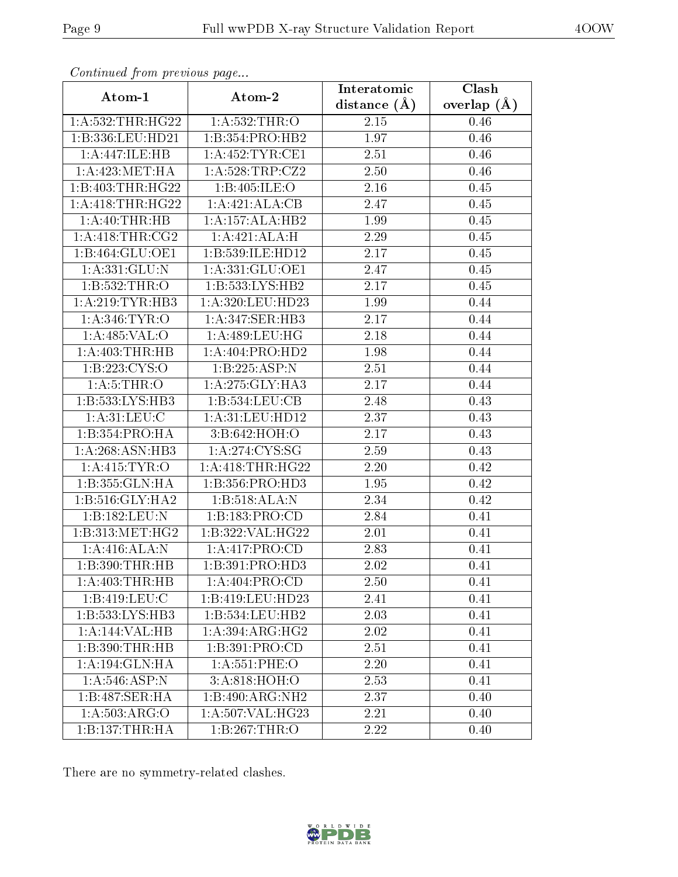|                      |                     | Interatomic    | Clash         |
|----------------------|---------------------|----------------|---------------|
| Atom-1               | Atom-2              | distance $(A)$ | overlap $(A)$ |
| 1: A: 532: THR: HG22 | 1: A:532:THR:O      | 2.15           | 0.46          |
| 1:B:336:LEU:HD21     | 1:B:354:PRO:HB2     | 1.97           | 0.46          |
| 1:A:447:ILE:HB       | 1: A: 452: TYR: CE1 | 2.51           | 0.46          |
| 1: A:423:MET:HA      | 1: A:528:TRP: CZ2   | 2.50           | 0.46          |
| 1:B:403:THR:HG22     | 1:B:405:ILE:O       | 2.16           | 0.45          |
| 1: A: 418: THR: HG22 | 1:A:421:ALA:CB      | 2.47           | 0.45          |
| 1: A:40:THR:HB       | 1:A:157:ALA:HB2     | 1.99           | 0.45          |
| 1: A:418:THR:CG2     | 1:A:421:ALA:H       | 2.29           | 0.45          |
| 1:B:464:GLU:OE1      | 1:B:539:ILE:HD12    | 2.17           | 0.45          |
| 1: A: 331: GLU: N    | 1: A:331: GLU:OE1   | 2.47           | 0.45          |
| 1:B:532:THR:O        | 1:B:533:LYS:HB2     | 2.17           | 0.45          |
| 1:A:219:TYR:HB3      | 1:A:320:LEU:HD23    | 1.99           | 0.44          |
| 1: A:346: TYR:O      | 1:A:347:SER:HB3     | 2.17           | 0.44          |
| 1: A:485: VAL:O      | 1: A:489: LEU: HG   | 2.18           | 0.44          |
| 1: A:403:THR:HB      | 1:A:404:PRO:HD2     | 1.98           | 0.44          |
| 1:B:223:CYS:O        | 1:B:225:ASP:N       | 2.51           | 0.44          |
| 1: A:5:THR:O         | 1:A:275:GLY:HA3     | 2.17           | 0.44          |
| 1:B:533:LYS:HB3      | 1:B:534:LEU:CB      | 2.48           | 0.43          |
| 1: A:31: LEU: C      | 1:A:31:LEU:HD12     | 2.37           | 0.43          |
| 1:B:354:PRO:HA       | 3:B:642:HOH:O       | 2.17           | 0.43          |
| 1: A:268: ASN:HB3    | 1: A:274: CYS:SG    | 2.59           | 0.43          |
| 1: A: 415: TYR: O    | 1:A:418:THR:HG22    | 2.20           | 0.42          |
| 1:B:355:GLN:HA       | 1:B:356:PRO:HD3     | 1.95           | 0.42          |
| 1:B:516:GLY:HA2      | 1:B:518:ALA:N       | 2.34           | 0.42          |
| 1:B:182:LEU:N        | 1:B:183:PRO:CD      | 2.84           | 0.41          |
| 1:B:313:MET:HG2      | 1:B:322:VAL:HG22    | 2.01           | 0.41          |
| 1:A:416:ALA:N        | 1:A:417:PRO:CD      | 2.83           | 0.41          |
| 1: B: 390: THR: HB   | 1:B:391:PRO:HD3     | 2.02           | 0.41          |
| 1:A:403:THR:HB       | 1:A:404:PRO:CD      | 2.50           | 0.41          |
| 1:B:419:LEU:C        | 1:B:419:LEU:HD23    | 2.41           | 0.41          |
| 1: B: 533: LYS: HB3  | 1: B: 534: LEU: HB2 | 2.03           | 0.41          |
| 1:A:144:VAL:HB       | 1:A:394:ARG:HG2     | 2.02           | 0.41          |
| 1:B:390:THR:HB       | 1:B:391:PRO:CD      | 2.51           | 0.41          |
| 1: A:194: GLN: HA    | 1: A:551:PHE:O      | 2.20           | 0.41          |
| 1:A:546:ASP:N        | 3: A:818:HOH:O      | 2.53           | 0.41          |
| 1:B:487:SER:HA       | 1:B:490:ARG:NH2     | 2.37           | 0.40          |
| 1:A:503:ARG:O        | 1:A:507:VAL:HG23    | 2.21           | 0.40          |
| 1:B:137:THR:HA       | 1:B:267:THR:O       | 2.22           | 0.40          |

Continued from previous page...

There are no symmetry-related clashes.

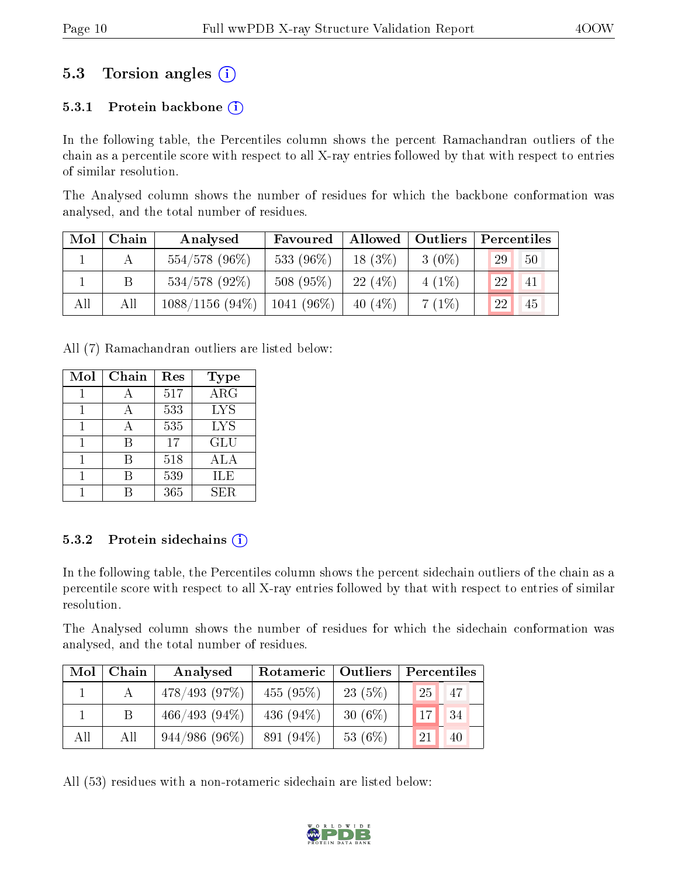### 5.3 Torsion angles (i)

#### 5.3.1 Protein backbone  $(i)$

In the following table, the Percentiles column shows the percent Ramachandran outliers of the chain as a percentile score with respect to all X-ray entries followed by that with respect to entries of similar resolution.

The Analysed column shows the number of residues for which the backbone conformation was analysed, and the total number of residues.

| Mol | Chain | Analysed          | Favoured      |           | Allowed   Outliers | Percentiles |            |
|-----|-------|-------------------|---------------|-----------|--------------------|-------------|------------|
|     |       | $554/578$ (96%)   | 533 (96%)     | $18(3\%)$ | $3(0\%)$           | 29          | $-50$      |
|     |       | $534/578$ (92%)   | 508(95%)      | 22(4%)    | $4(1\%)$           | 22          | $\vert$ 41 |
| All | All   | $1088/1156(94\%)$ | $1041 (96\%)$ | 40 $(4%)$ | 7(1%)              | 22          | 45         |

All (7) Ramachandran outliers are listed below:

| Mol | Chain | Res | Type       |
|-----|-------|-----|------------|
|     |       | 517 | $\rm{ARG}$ |
|     |       | 533 | <b>LYS</b> |
|     |       | 535 | <b>LYS</b> |
|     | B     | 17  | <b>GLU</b> |
|     | R     | 518 | ALA        |
|     | R     | 539 | ILE        |
|     |       | 365 | SER.       |

#### 5.3.2 Protein sidechains  $(i)$

In the following table, the Percentiles column shows the percent sidechain outliers of the chain as a percentile score with respect to all X-ray entries followed by that with respect to entries of similar resolution.

The Analysed column shows the number of residues for which the sidechain conformation was analysed, and the total number of residues.

| Mol | Chain | Analysed        | Rotameric   Outliers |            | Percentiles     |    |  |
|-----|-------|-----------------|----------------------|------------|-----------------|----|--|
|     |       | 478/493(97%)    | 455(95%)             | 23(5%)     | 25 <sub>1</sub> | 47 |  |
|     |       | $466/493(94\%)$ | 436 $(94\%)$         | 30 $(6\%)$ | 17              | 34 |  |
| All | All   | $944/986(96\%)$ | $891(94\%)$          | 53 (6%)    | 21              | 40 |  |

All (53) residues with a non-rotameric sidechain are listed below:

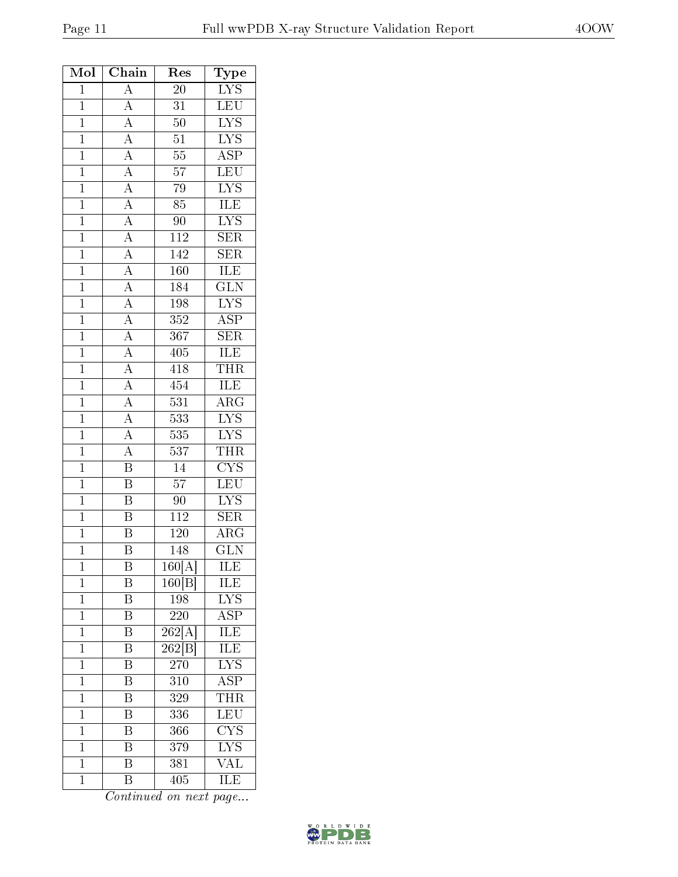| Mol            | Chain                                                                                                                                           | $\operatorname{Res}% \left( \mathcal{N}\right) \equiv\operatorname{Res}(\mathcal{N}_{0})\cap\mathcal{N}_{1}$ | Type                    |
|----------------|-------------------------------------------------------------------------------------------------------------------------------------------------|--------------------------------------------------------------------------------------------------------------|-------------------------|
| $\mathbf{1}$   | $\overline{A}$                                                                                                                                  | 20                                                                                                           | $LYS$                   |
| $\mathbf{1}$   | $\overline{A}$                                                                                                                                  | $\overline{31}$                                                                                              | LEU                     |
| $\mathbf{1}$   | $\overline{A}$                                                                                                                                  | $50\,$                                                                                                       | $\overline{\text{LYS}}$ |
| $\overline{1}$ |                                                                                                                                                 | $\overline{51}$                                                                                              | $\overline{\text{LYS}}$ |
| $\mathbf{1}$   |                                                                                                                                                 | $\overline{55}$                                                                                              | $\overline{\text{ASP}}$ |
| $\overline{1}$ |                                                                                                                                                 | $\overline{57}$                                                                                              | LEU                     |
| $\overline{1}$ | $\frac{\overline{A}}{\overline{A}}$ $\frac{\overline{A}}{\overline{A}}$ $\frac{\overline{A}}{\overline{A}}$ $\frac{\overline{A}}{\overline{A}}$ | $\overline{79}$                                                                                              | $\overline{\text{LYS}}$ |
| $\overline{1}$ |                                                                                                                                                 | $\overline{85}$                                                                                              | <b>ILE</b>              |
| $\overline{1}$ |                                                                                                                                                 | $90\,$                                                                                                       | $\overline{\text{LYS}}$ |
| $\mathbf{1}$   |                                                                                                                                                 | 112                                                                                                          | <b>SER</b>              |
| $\overline{1}$ |                                                                                                                                                 | 142                                                                                                          | $\overline{\text{SER}}$ |
| $\mathbf{1}$   |                                                                                                                                                 | 160                                                                                                          | ILE                     |
| $\overline{1}$ |                                                                                                                                                 | 184                                                                                                          | $\overline{\text{GLN}}$ |
| $\overline{1}$ |                                                                                                                                                 | 198                                                                                                          | <b>LYS</b>              |
| $\mathbf{1}$   | $\frac{\overline{A}}{\overline{A}}$ $\frac{\overline{A}}{\overline{A}}$ $\frac{\overline{A}}{\overline{A}}$ $\frac{\overline{A}}{\overline{A}}$ | $\overline{352}$                                                                                             | $\overline{\text{ASP}}$ |
| $\overline{1}$ |                                                                                                                                                 | 367                                                                                                          | $\overline{\text{SER}}$ |
| $\mathbf{1}$   |                                                                                                                                                 | 405                                                                                                          | <b>ILE</b>              |
| $\overline{1}$ |                                                                                                                                                 | 418                                                                                                          | <b>THR</b>              |
| $\overline{1}$ |                                                                                                                                                 | 454                                                                                                          | ILE                     |
| $\mathbf{1}$   |                                                                                                                                                 | 531                                                                                                          | $\overline{\rm{ARG}}$   |
| $\mathbf{1}$   |                                                                                                                                                 | $\overline{533}$                                                                                             | $\overline{\text{LYS}}$ |
| $\mathbf{1}$   | $\frac{\overline{A}}{\overline{A}}$ $\frac{\overline{A}}{\overline{A}}$                                                                         | $535\,$                                                                                                      | $\overline{\text{LYS}}$ |
| $\overline{1}$ |                                                                                                                                                 | $\overline{537}$                                                                                             | <b>THR</b>              |
| $\mathbf{1}$   | $\overline{\mathrm{B}}$                                                                                                                         | $\overline{14}$                                                                                              | $\overline{\text{CYS}}$ |
| $\mathbf{1}$   | $\frac{1}{\overline{B}}$                                                                                                                        | $\overline{57}$                                                                                              | $\overline{\text{LEU}}$ |
| $\mathbf{1}$   | $\overline{\mathbf{B}}$                                                                                                                         | $90\,$                                                                                                       | $\overline{\text{LYS}}$ |
| $\mathbf{1}$   | $\overline{\mathrm{B}}$                                                                                                                         | $\overline{112}$                                                                                             | <b>SER</b>              |
| $\overline{1}$ | $\overline{\mathrm{B}}$                                                                                                                         | 120                                                                                                          | $\overline{\rm{ARG}}$   |
| $\mathbf{1}$   | Β                                                                                                                                               | 148                                                                                                          | $\overline{\text{GLN}}$ |
| $\mathbf 1$    | Β                                                                                                                                               | 160[A]                                                                                                       | ILE                     |
| $\mathbf 1$    | Β                                                                                                                                               | 160 B                                                                                                        | ILE                     |
| $\mathbf{1}$   | Β                                                                                                                                               | 198                                                                                                          | $\overline{\text{LYS}}$ |
| $\mathbf{1}$   | $\overline{\mathrm{B}}$                                                                                                                         | $220\,$                                                                                                      | $\overline{\rm ASP}$    |
| $\mathbf{1}$   | $\boldsymbol{\mathrm{B}}$                                                                                                                       | 262[A]                                                                                                       | ILE                     |
| $\overline{1}$ | $\overline{\mathrm{B}}$                                                                                                                         | $262\text{[B]}$                                                                                              | <b>ILE</b>              |
| $\mathbf{1}$   | Β                                                                                                                                               | 270                                                                                                          | $\overline{\text{LYS}}$ |
| $\mathbf{1}$   | $\overline{\text{B}}$                                                                                                                           | 310                                                                                                          | $\overline{\text{ASP}}$ |
| $\mathbf 1$    | Β                                                                                                                                               | 329                                                                                                          | THR                     |
| $\mathbf 1$    | Β                                                                                                                                               | 336                                                                                                          | LEU                     |
| $\mathbf{1}$   | Β                                                                                                                                               | 366                                                                                                          | $\overline{\text{CYS}}$ |
| $\mathbf{1}$   | B                                                                                                                                               | 379                                                                                                          | ${\rm LYS}$             |
| $\mathbf 1$    | $\overline{\mathrm{B}}$                                                                                                                         | 381                                                                                                          | $\overline{\text{VAL}}$ |
| $\mathbf 1$    | $\overline{\mathrm{B}}$                                                                                                                         | 405                                                                                                          | ILE                     |

Continued on next page...

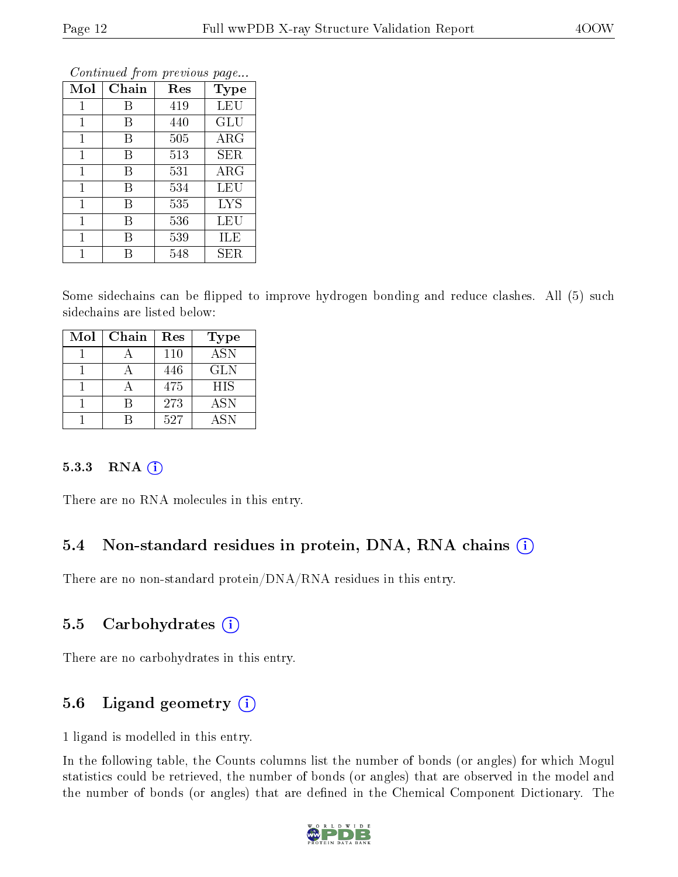| Mol          | Chain | $\operatorname{Res}% \left( \mathcal{N}\right) \equiv\operatorname{Res}(\mathcal{N}_{0},\mathcal{N}_{0})$ | <b>Type</b> |
|--------------|-------|-----------------------------------------------------------------------------------------------------------|-------------|
| 1            | В     | 419                                                                                                       | LEU         |
| 1            | В     | 440                                                                                                       | GLU         |
| $\mathbf{1}$ | В     | 505                                                                                                       | $\rm{ARG}$  |
| $\mathbf{1}$ | В     | 513                                                                                                       | SER         |
| 1            | В     | 531                                                                                                       | $\rm{ARG}$  |
| 1            | В     | 534                                                                                                       | LEU         |
| $\mathbf{1}$ | Β     | 535                                                                                                       | <b>LYS</b>  |
| $\mathbf 1$  | В     | 536                                                                                                       | LEU         |
| 1            | В     | 539                                                                                                       | ILE         |
| 1            | R     | 548                                                                                                       | ${\rm SER}$ |

Continued from previous page...

Some sidechains can be flipped to improve hydrogen bonding and reduce clashes. All (5) such sidechains are listed below:

| Mol | Chain | Res | <b>Type</b> |
|-----|-------|-----|-------------|
|     |       | 110 | <b>ASN</b>  |
|     |       | 446 | <b>GLN</b>  |
|     |       | 475 | <b>HIS</b>  |
|     |       | 273 | <b>ASN</b>  |
|     |       | 527 | ASN         |

#### 5.3.3 RNA [O](https://www.wwpdb.org/validation/2017/XrayValidationReportHelp#rna)i

There are no RNA molecules in this entry.

### 5.4 Non-standard residues in protein, DNA, RNA chains (i)

There are no non-standard protein/DNA/RNA residues in this entry.

#### 5.5 Carbohydrates (i)

There are no carbohydrates in this entry.

### 5.6 Ligand geometry (i)

1 ligand is modelled in this entry.

In the following table, the Counts columns list the number of bonds (or angles) for which Mogul statistics could be retrieved, the number of bonds (or angles) that are observed in the model and the number of bonds (or angles) that are defined in the Chemical Component Dictionary. The

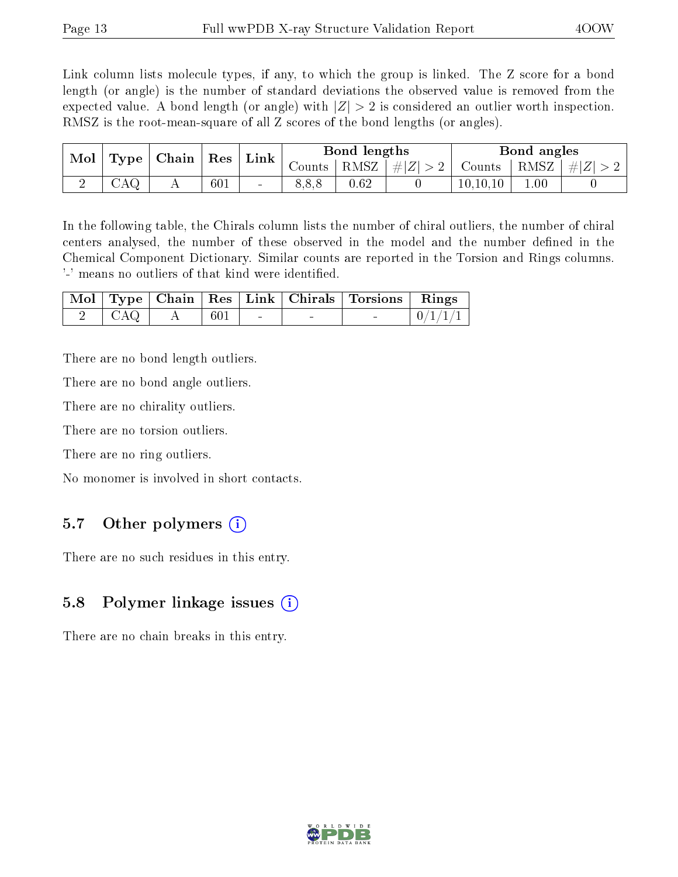Link column lists molecule types, if any, to which the group is linked. The Z score for a bond length (or angle) is the number of standard deviations the observed value is removed from the expected value. A bond length (or angle) with  $|Z| > 2$  is considered an outlier worth inspection. RMSZ is the root-mean-square of all Z scores of the bond lengths (or angles).

| Mol | $\vert$ Type $\vert$ | Chain | ${\mathbf Res}$ | Link |          | Bond lengths |         |                       | Bond angles |           |
|-----|----------------------|-------|-----------------|------|----------|--------------|---------|-----------------------|-------------|-----------|
|     |                      |       |                 |      | ∪ounts + | RMSZ         | $\# Z $ | $\sim$ Counts $\perp$ | RMSZ        | $\pm  Z $ |
|     | CAQ                  |       | 601             | -    |          | 0.62         |         | 10, 10, 10            | 0.01        |           |

In the following table, the Chirals column lists the number of chiral outliers, the number of chiral centers analysed, the number of these observed in the model and the number defined in the Chemical Component Dictionary. Similar counts are reported in the Torsion and Rings columns. '-' means no outliers of that kind were identified.

|       |      |  | Mol   Type   Chain   Res   Link   Chirals   Torsions   Rings |  |
|-------|------|--|--------------------------------------------------------------|--|
| - CAQ | -601 |  |                                                              |  |

There are no bond length outliers.

There are no bond angle outliers.

There are no chirality outliers.

There are no torsion outliers.

There are no ring outliers.

No monomer is involved in short contacts.

#### 5.7 [O](https://www.wwpdb.org/validation/2017/XrayValidationReportHelp#nonstandard_residues_and_ligands)ther polymers  $(i)$

There are no such residues in this entry.

#### 5.8 Polymer linkage issues  $(i)$

There are no chain breaks in this entry.

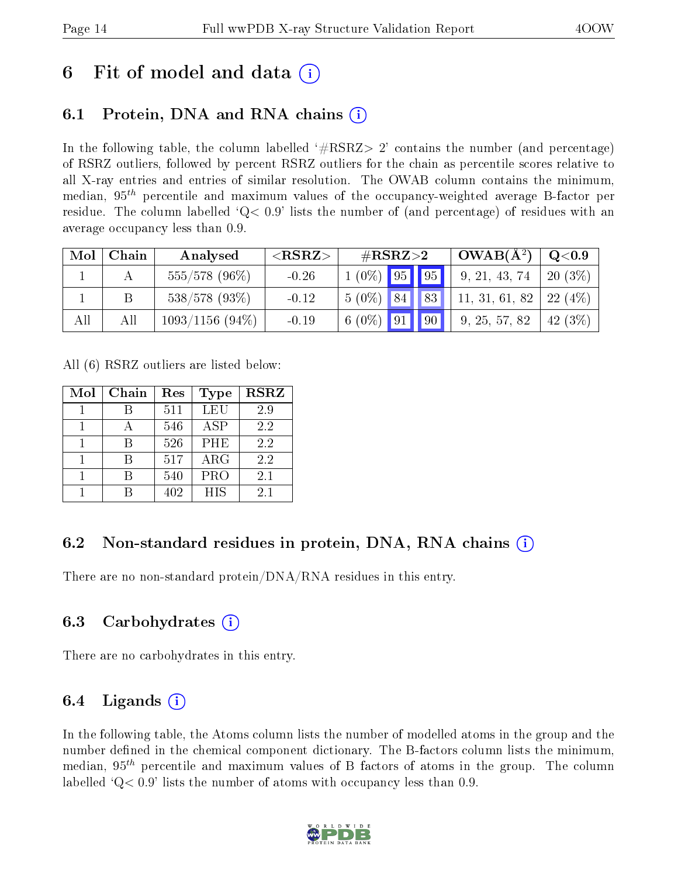## 6 Fit of model and data  $\left( \cdot \right)$

### 6.1 Protein, DNA and RNA chains (i)

In the following table, the column labelled  $#RSRZ>2'$  contains the number (and percentage) of RSRZ outliers, followed by percent RSRZ outliers for the chain as percentile scores relative to all X-ray entries and entries of similar resolution. The OWAB column contains the minimum, median,  $95<sup>th</sup>$  percentile and maximum values of the occupancy-weighted average B-factor per residue. The column labelled  $Q< 0.9$  lists the number of (and percentage) of residues with an average occupancy less than 0.9.

| Mol | Chain | Analysed          | ${ <\hspace{-1.5pt}{\mathrm{RSRZ}} \hspace{-1.5pt}>}$ | $\#\text{RSRZ}\text{>2}$ | $\mathbf{A}^2$ OWAB( $\mathbf{A}^2$ ) | Q <sub>0.9</sub> |
|-----|-------|-------------------|-------------------------------------------------------|--------------------------|---------------------------------------|------------------|
|     |       | $555/578$ (96%)   | $-0.26$                                               | $1(0\%)$ 95 95           | 9, 21, 43, 74                         | $20(3\%)$        |
|     |       | $538/578$ (93\%)  | $-0.12$                                               | $5(0\%)$ 84 83           | 11, 31, 61, 82                        | $-22(4%)$        |
| All | All   | $1093/1156(94\%)$ | $-0.19$                                               | 6 (0\%)   91   90        | 9, 25, 57, 82                         | 42(3%)           |

All (6) RSRZ outliers are listed below:

| Mol | Chain | Res | Type       | <b>RSRZ</b> |
|-----|-------|-----|------------|-------------|
|     |       | 511 | LEU        | 2.9         |
|     |       | 546 | ASP        | 2.2         |
|     |       | 526 | <b>PHE</b> | 2.2         |
|     |       | 517 | $\rm{ARG}$ | 2.2         |
|     |       | 540 | <b>PRO</b> | 2.1         |
|     |       | 402 | <b>HIS</b> | 2.1         |

### 6.2 Non-standard residues in protein, DNA, RNA chains  $(i)$

There are no non-standard protein/DNA/RNA residues in this entry.

#### 6.3 Carbohydrates (i)

There are no carbohydrates in this entry.

### 6.4 Ligands  $(i)$

In the following table, the Atoms column lists the number of modelled atoms in the group and the number defined in the chemical component dictionary. The B-factors column lists the minimum, median,  $95<sup>th</sup>$  percentile and maximum values of B factors of atoms in the group. The column labelled  $Q< 0.9$ ' lists the number of atoms with occupancy less than 0.9.